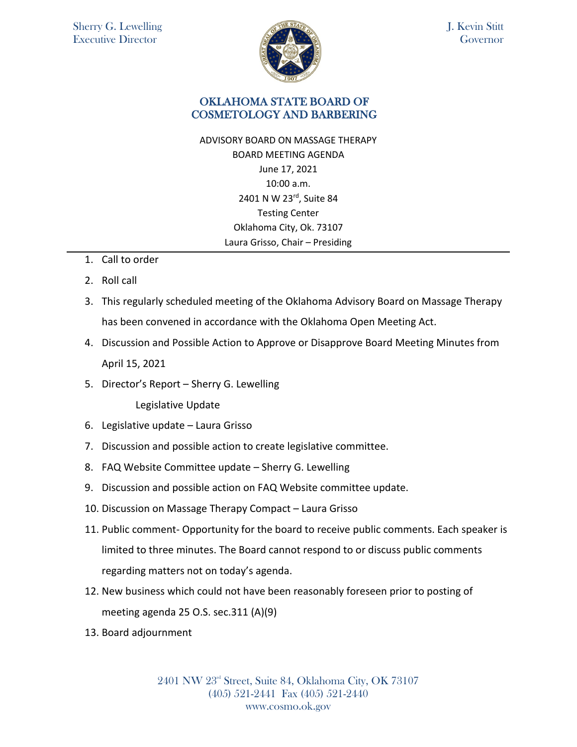

J. Kevin Stitt **Governor** 

## OKLAHOMA STATE BOARD OF COSMETOLOGY AND BARBERING

ADVISORY BOARD ON MASSAGE THERAPY BOARD MEETING AGENDA June 17, 2021 10:00 a.m. 2401 N W 23rd, Suite 84 Testing Center Oklahoma City, Ok. 73107 Laura Grisso, Chair – Presiding

- 1. Call to order
- 2. Roll call
- 3. This regularly scheduled meeting of the Oklahoma Advisory Board on Massage Therapy has been convened in accordance with the Oklahoma Open Meeting Act.
- 4. Discussion and Possible Action to Approve or Disapprove Board Meeting Minutes from April 15, 2021
- 5. Director's Report Sherry G. Lewelling

Legislative Update

- 6. Legislative update Laura Grisso
- 7. Discussion and possible action to create legislative committee.
- 8. FAQ Website Committee update Sherry G. Lewelling
- 9. Discussion and possible action on FAQ Website committee update.
- 10. Discussion on Massage Therapy Compact Laura Grisso
- 11. Public comment- Opportunity for the board to receive public comments. Each speaker is limited to three minutes. The Board cannot respond to or discuss public comments regarding matters not on today's agenda.
- 12. New business which could not have been reasonably foreseen prior to posting of meeting agenda 25 O.S. sec.311 (A)(9)
- 13. Board adjournment

2401 NW 23rd Street, Suite 84, Oklahoma City, OK 73107 (405) 521-2441 Fax (405) 521-2440 www.cosmo.ok.gov